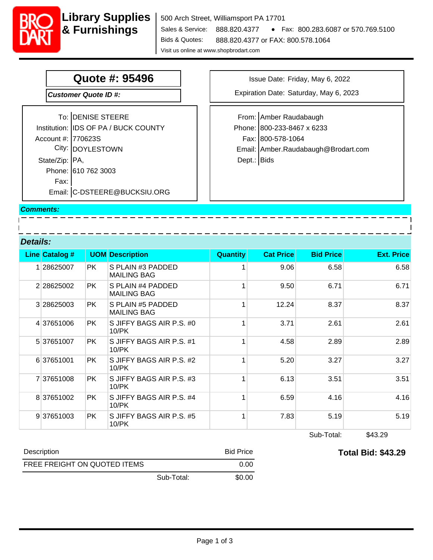**Library Supplies** 

# **Quote #: 95496**

**Customer Quote ID #:** 

|                    | To: DENISE STEERE                    | From:  |
|--------------------|--------------------------------------|--------|
|                    | Institution: IDS OF PA / BUCK COUNTY | Phone: |
| Account #: 770623S |                                      | Fax:   |
|                    | City: DOYLESTOWN                     | Email: |
| State/Zip:   PA,   |                                      | Dept.: |
|                    | Phone: 610 762 3003                  |        |
| Fax:               |                                      |        |
|                    | Email: C-DSTEERE@BUCKSIU.ORG         |        |

Issue Date: Friday, May 6, 2022

Expiration Date: Saturday, May 6, 2023

Email: Amber.Raudabaugh@Brodart.com Fax: 800-578-1064 Phone: 800-233-8467 x 6233 From: Amber Raudabaugh Dept.: Bids

<u> — — — — — — –</u>

#### **Comments:**

**Details:**

|   | <b>Line Catalog #</b> |           | <b>UOM Description</b>                  | <b>Quantity</b> | <b>Cat Price</b> | <b>Bid Price</b> | <b>Ext. Price</b> |
|---|-----------------------|-----------|-----------------------------------------|-----------------|------------------|------------------|-------------------|
| 1 | 28625007              | <b>PK</b> | S PLAIN #3 PADDED<br><b>MAILING BAG</b> |                 | 9.06             | 6.58             | 6.58              |
|   | 2 28625002            | <b>PK</b> | S PLAIN #4 PADDED<br><b>MAILING BAG</b> |                 | 9.50             | 6.71             | 6.71              |
|   | 3 28625003            | <b>PK</b> | S PLAIN #5 PADDED<br><b>MAILING BAG</b> |                 | 12.24            | 8.37             | 8.37              |
|   | 4 37651006            | <b>PK</b> | S JIFFY BAGS AIR P.S. #0<br>$10$ /PK    |                 | 3.71             | 2.61             | 2.61              |
|   | 537651007             | <b>PK</b> | S JIFFY BAGS AIR P.S. #1<br>$10$ /PK    |                 | 4.58             | 2.89             | 2.89              |
|   | 6 37651001            | <b>PK</b> | S JIFFY BAGS AIR P.S. #2<br>$10$ / $PK$ |                 | 5.20             | 3.27             | 3.27              |
|   | 737651008             | <b>PK</b> | S JIFFY BAGS AIR P.S. #3<br>$10$ /PK    |                 | 6.13             | 3.51             | 3.51              |
|   | 8 37651002            | <b>PK</b> | S JIFFY BAGS AIR P.S. #4<br>10/PK       |                 | 6.59             | 4.16             | 4.16              |
|   | 937651003             | PK.       | S JIFFY BAGS AIR P.S. #5<br>10/PK       |                 | 7.83             | 5.19             | 5.19              |

- <del>- - - - - - - -</del> -

Sub-Total: \$43.29

**Total Bid: \$43.29**

| Description                  |            | <b>Bid Price</b> |
|------------------------------|------------|------------------|
| FREE FREIGHT ON QUOTED ITEMS |            | 0.00             |
|                              | Sub-Total: | \$0.00           |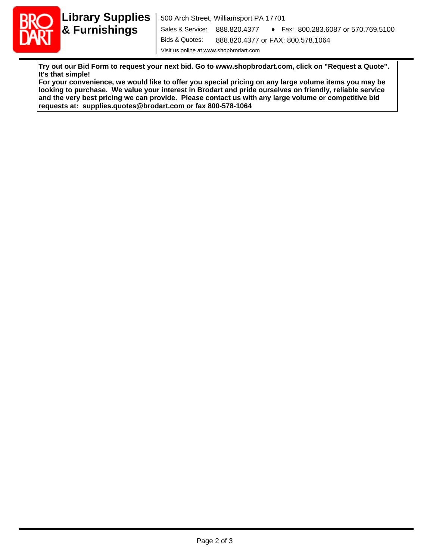

**Try out our Bid Form to request your next bid. Go to www.shopbrodart.com, click on "Request a Quote". It's that simple!**

**For your convenience, we would like to offer you special pricing on any large volume items you may be looking to purchase. We value your interest in Brodart and pride ourselves on friendly, reliable service and the very best pricing we can provide. Please contact us with any large volume or competitive bid requests at: supplies.quotes@brodart.com or fax 800-578-1064**